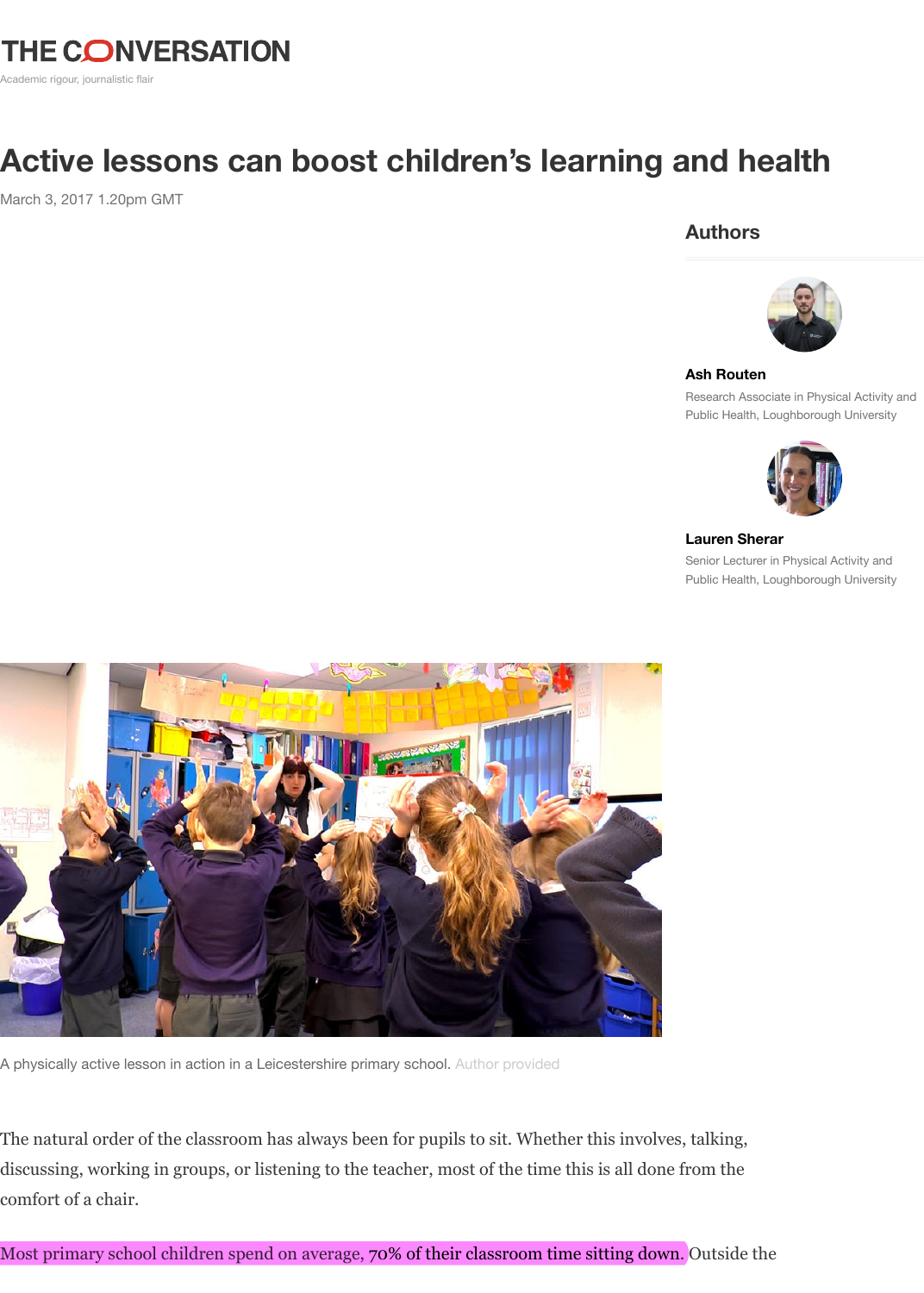

#### **Ash Routen**

Research Associate in I Public Health, Loughbor



#### **Lauren Sherar**

Senior Lecturer in Phys Public Health, Loughbor



A physically active lesson in action in a Leicestershire primary school. Author provided

The natural order of the classroom has always been for pupils to sit. Whether this involves, talking, discussing, working in groups, or listening to the teacher, most of the time this is all done from the comfort of a chair.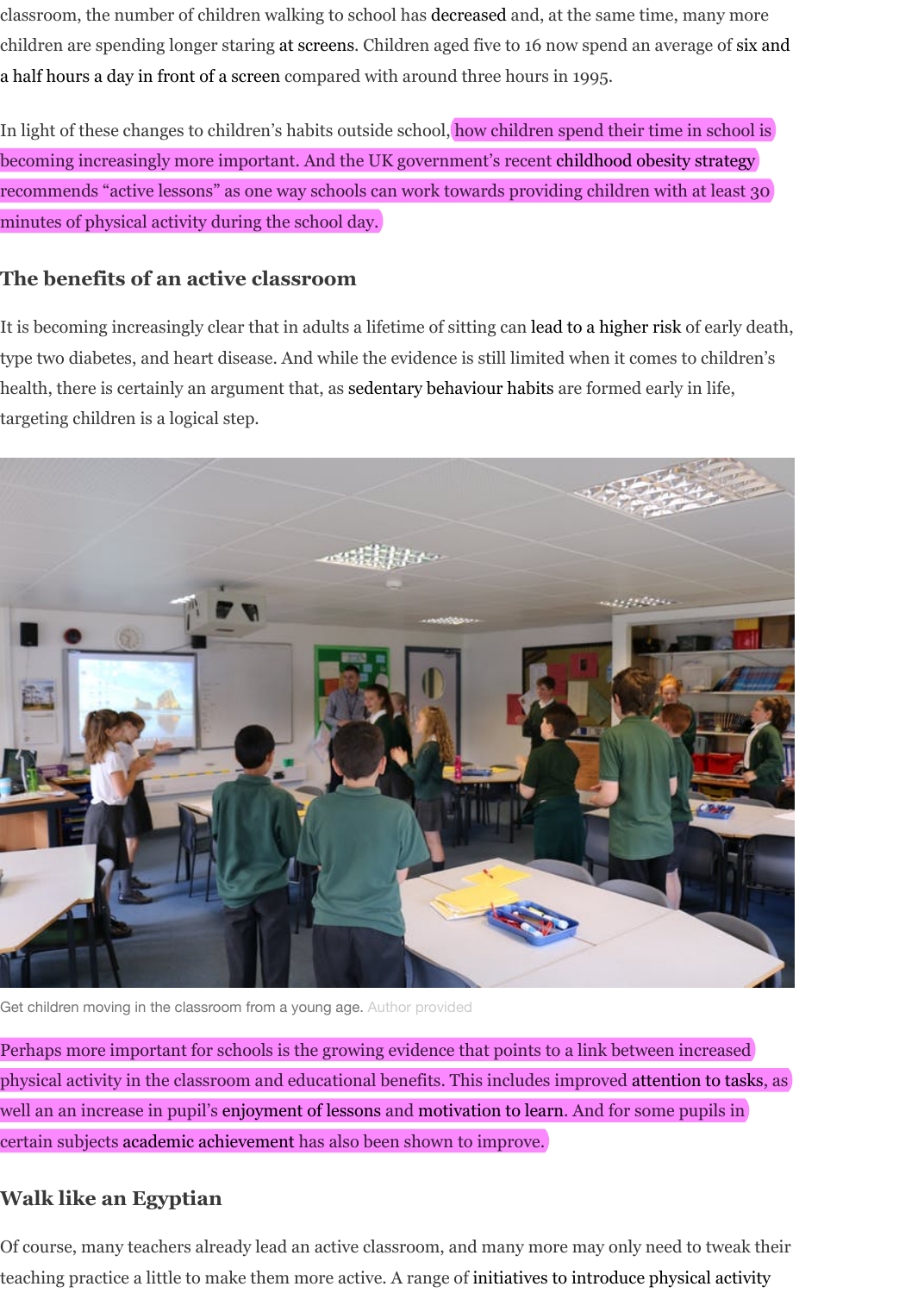## **The benefits of an active cl[assroom](https://ijbnpa.biomedcentral.com/articles/10.1186/s12966-016-0419-1)**

[It is becoming increasingly clear that in adults a lifetime of sitting can lead to a higher risk of early death,](http://www.bbc.co.uk/news/technology-32067158) type two diabetes, and heart disease. And while the evidence is still limited when it comes to children's health, there is certainly an argument that, as sedentary behaviour habits [are formed early in life,](https://www.gov.uk/government/publications/childhood-obesity-a-plan-for-action) targeting children is a logical step.



Get children moving in the classroom from a young age. Author provided

Perhaps more important for schools is the growing evidence that points to a link between increased physical activity in the classroom and educational benefits. This includes improved attention to tasks, as well an an increase in pupil's enjoyment of lessons and motivation to learn. And for some pupils in certain subjects academic achievement has also been shown to improve.

## **Walk like an Egyptian**

Of course, many teachers already lead an active classroom, and many more may only need to tweak their teaching practice a little to make them more active. A range of initiatives to introduce physical activity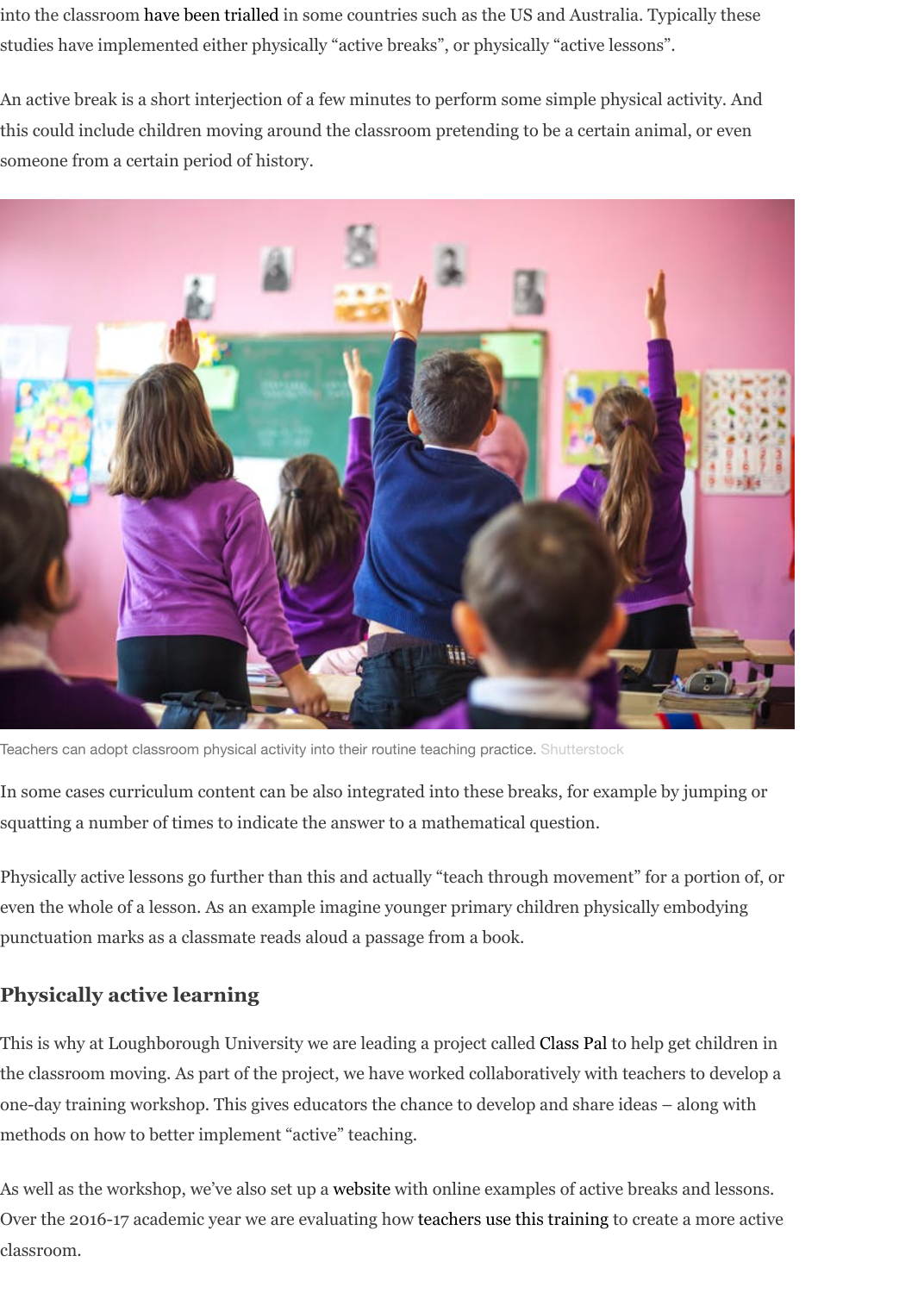

Teachers can adopt classroom physical activity into their routine teaching practice. Shutterstock

In some cases curriculum content can be also integrated into these breaks, for example by jumping or squatting a number of times to indicate the answer to a mathematical question.

Physically active lessons go further than this and actually "teach through movement" for a portion of, or even the whole of a lesson. As an example imagine younger primary children physically embodying punctuation marks as a classmate reads aloud a passage from a book.

## **Physically active learning**

This is why at Loughborough University we are leading a project called Class Pal to help get children in the classroom moving. As part of the project, we have worked collaboratively with teachers to develop a one-day training workshop. This gives educators the chance to develop and share ideas – along with methods on how to better implement "active" teaching.

As well as the workshop, we've also set up a website with online examples of active breaks and lessons. Over the 2016-17 academic year we are evaluating how teachers use this training to create a more active classroom.